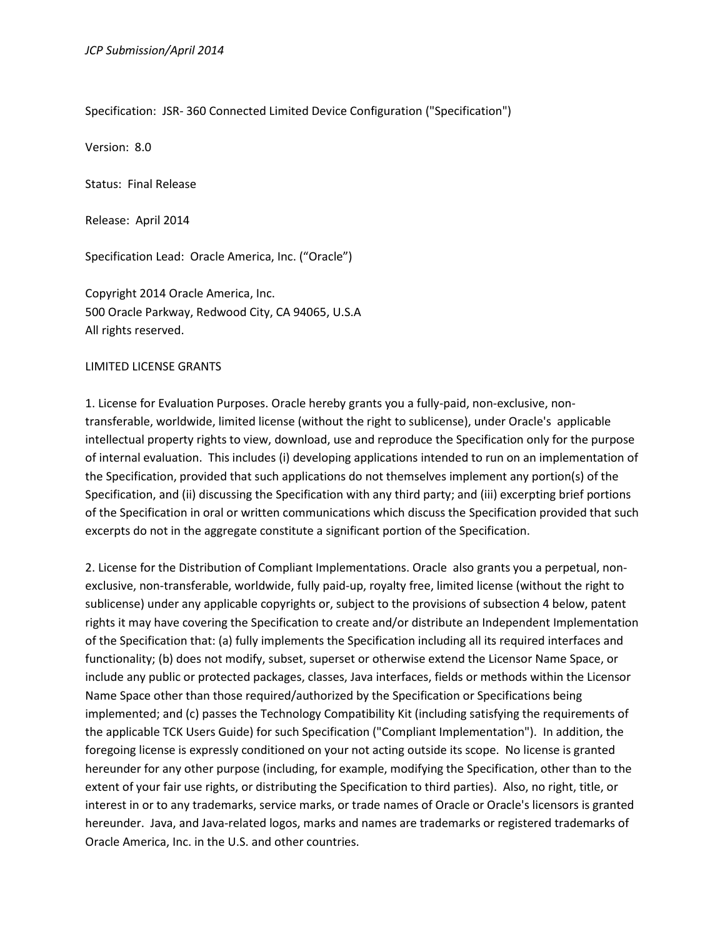Specification: JSR- 360 Connected Limited Device Configuration ("Specification")

Version: 8.0

Status: Final Release

Release: April 2014

Specification Lead: Oracle America, Inc. ("Oracle")

Copyright 2014 Oracle America, Inc. 500 Oracle Parkway, Redwood City, CA 94065, U.S.A All rights reserved.

#### LIMITED LICENSE GRANTS

1. License for Evaluation Purposes. Oracle hereby grants you a fully-paid, non-exclusive, nontransferable, worldwide, limited license (without the right to sublicense), under Oracle's applicable intellectual property rights to view, download, use and reproduce the Specification only for the purpose of internal evaluation. This includes (i) developing applications intended to run on an implementation of the Specification, provided that such applications do not themselves implement any portion(s) of the Specification, and (ii) discussing the Specification with any third party; and (iii) excerpting brief portions of the Specification in oral or written communications which discuss the Specification provided that such excerpts do not in the aggregate constitute a significant portion of the Specification.

2. License for the Distribution of Compliant Implementations. Oracle also grants you a perpetual, nonexclusive, non-transferable, worldwide, fully paid-up, royalty free, limited license (without the right to sublicense) under any applicable copyrights or, subject to the provisions of subsection 4 below, patent rights it may have covering the Specification to create and/or distribute an Independent Implementation of the Specification that: (a) fully implements the Specification including all its required interfaces and functionality; (b) does not modify, subset, superset or otherwise extend the Licensor Name Space, or include any public or protected packages, classes, Java interfaces, fields or methods within the Licensor Name Space other than those required/authorized by the Specification or Specifications being implemented; and (c) passes the Technology Compatibility Kit (including satisfying the requirements of the applicable TCK Users Guide) for such Specification ("Compliant Implementation"). In addition, the foregoing license is expressly conditioned on your not acting outside its scope. No license is granted hereunder for any other purpose (including, for example, modifying the Specification, other than to the extent of your fair use rights, or distributing the Specification to third parties). Also, no right, title, or interest in or to any trademarks, service marks, or trade names of Oracle or Oracle's licensors is granted hereunder. Java, and Java-related logos, marks and names are trademarks or registered trademarks of Oracle America, Inc. in the U.S. and other countries.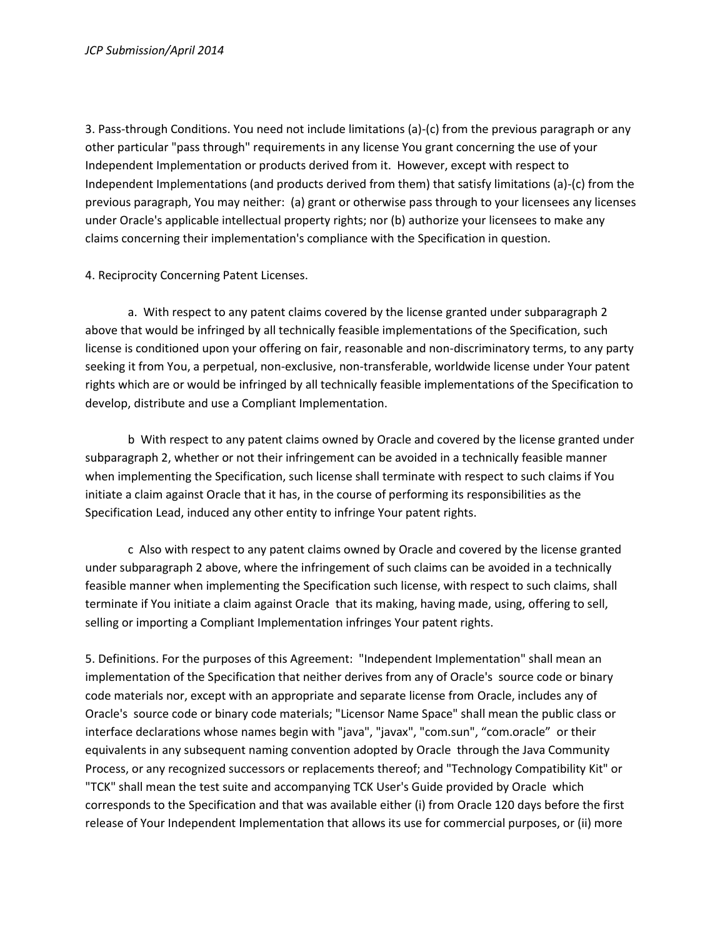3. Pass-through Conditions. You need not include limitations (a)-(c) from the previous paragraph or any other particular "pass through" requirements in any license You grant concerning the use of your Independent Implementation or products derived from it. However, except with respect to Independent Implementations (and products derived from them) that satisfy limitations (a)-(c) from the previous paragraph, You may neither: (a) grant or otherwise pass through to your licensees any licenses under Oracle's applicable intellectual property rights; nor (b) authorize your licensees to make any claims concerning their implementation's compliance with the Specification in question.

4. Reciprocity Concerning Patent Licenses.

a. With respect to any patent claims covered by the license granted under subparagraph 2 above that would be infringed by all technically feasible implementations of the Specification, such license is conditioned upon your offering on fair, reasonable and non-discriminatory terms, to any party seeking it from You, a perpetual, non-exclusive, non-transferable, worldwide license under Your patent rights which are or would be infringed by all technically feasible implementations of the Specification to develop, distribute and use a Compliant Implementation.

b With respect to any patent claims owned by Oracle and covered by the license granted under subparagraph 2, whether or not their infringement can be avoided in a technically feasible manner when implementing the Specification, such license shall terminate with respect to such claims if You initiate a claim against Oracle that it has, in the course of performing its responsibilities as the Specification Lead, induced any other entity to infringe Your patent rights.

c Also with respect to any patent claims owned by Oracle and covered by the license granted under subparagraph 2 above, where the infringement of such claims can be avoided in a technically feasible manner when implementing the Specification such license, with respect to such claims, shall terminate if You initiate a claim against Oracle that its making, having made, using, offering to sell, selling or importing a Compliant Implementation infringes Your patent rights.

5. Definitions. For the purposes of this Agreement: "Independent Implementation" shall mean an implementation of the Specification that neither derives from any of Oracle's source code or binary code materials nor, except with an appropriate and separate license from Oracle, includes any of Oracle's source code or binary code materials; "Licensor Name Space" shall mean the public class or interface declarations whose names begin with "java", "javax", "com.sun", "com.oracle" or their equivalents in any subsequent naming convention adopted by Oracle through the Java Community Process, or any recognized successors or replacements thereof; and "Technology Compatibility Kit" or "TCK" shall mean the test suite and accompanying TCK User's Guide provided by Oracle which corresponds to the Specification and that was available either (i) from Oracle 120 days before the first release of Your Independent Implementation that allows its use for commercial purposes, or (ii) more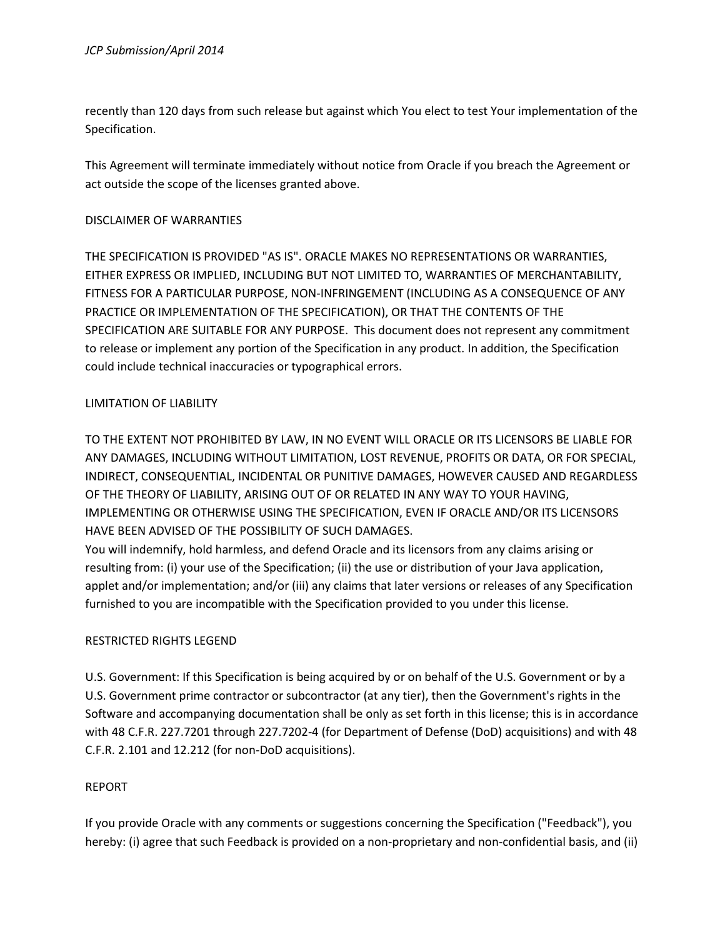recently than 120 days from such release but against which You elect to test Your implementation of the Specification.

This Agreement will terminate immediately without notice from Oracle if you breach the Agreement or act outside the scope of the licenses granted above.

### DISCLAIMER OF WARRANTIES

THE SPECIFICATION IS PROVIDED "AS IS". ORACLE MAKES NO REPRESENTATIONS OR WARRANTIES, EITHER EXPRESS OR IMPLIED, INCLUDING BUT NOT LIMITED TO, WARRANTIES OF MERCHANTABILITY, FITNESS FOR A PARTICULAR PURPOSE, NON-INFRINGEMENT (INCLUDING AS A CONSEQUENCE OF ANY PRACTICE OR IMPLEMENTATION OF THE SPECIFICATION), OR THAT THE CONTENTS OF THE SPECIFICATION ARE SUITABLE FOR ANY PURPOSE. This document does not represent any commitment to release or implement any portion of the Specification in any product. In addition, the Specification could include technical inaccuracies or typographical errors.

# LIMITATION OF LIABILITY

TO THE EXTENT NOT PROHIBITED BY LAW, IN NO EVENT WILL ORACLE OR ITS LICENSORS BE LIABLE FOR ANY DAMAGES, INCLUDING WITHOUT LIMITATION, LOST REVENUE, PROFITS OR DATA, OR FOR SPECIAL, INDIRECT, CONSEQUENTIAL, INCIDENTAL OR PUNITIVE DAMAGES, HOWEVER CAUSED AND REGARDLESS OF THE THEORY OF LIABILITY, ARISING OUT OF OR RELATED IN ANY WAY TO YOUR HAVING, IMPLEMENTING OR OTHERWISE USING THE SPECIFICATION, EVEN IF ORACLE AND/OR ITS LICENSORS HAVE BEEN ADVISED OF THE POSSIBILITY OF SUCH DAMAGES.

You will indemnify, hold harmless, and defend Oracle and its licensors from any claims arising or resulting from: (i) your use of the Specification; (ii) the use or distribution of your Java application, applet and/or implementation; and/or (iii) any claims that later versions or releases of any Specification furnished to you are incompatible with the Specification provided to you under this license.

# RESTRICTED RIGHTS LEGEND

U.S. Government: If this Specification is being acquired by or on behalf of the U.S. Government or by a U.S. Government prime contractor or subcontractor (at any tier), then the Government's rights in the Software and accompanying documentation shall be only as set forth in this license; this is in accordance with 48 C.F.R. 227.7201 through 227.7202-4 (for Department of Defense (DoD) acquisitions) and with 48 C.F.R. 2.101 and 12.212 (for non-DoD acquisitions).

# REPORT

If you provide Oracle with any comments or suggestions concerning the Specification ("Feedback"), you hereby: (i) agree that such Feedback is provided on a non-proprietary and non-confidential basis, and (ii)